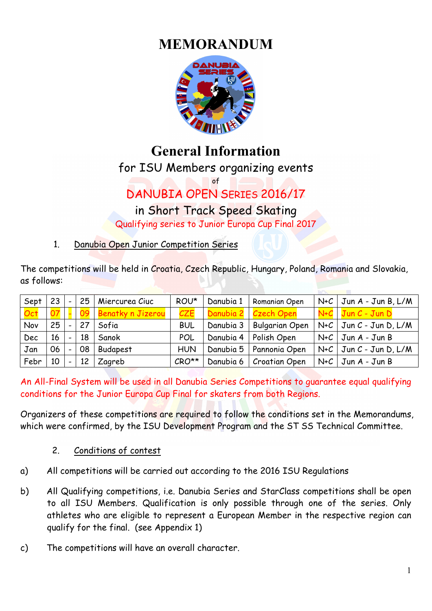# **MEMORANDUM**



# **General Information**

for ISU Members organizing events

of

# DANUBIA OPEN SERIES 2016/17

# in Short Track Speed Skating

Qualifying series to Junior Europa Cup Final 2017

1. Danubia Open Junior Competition Series

The competitions will be held in Croatia, Czech Republic, Hungary, Poland, Romania and Slovakia, as follows:

| Sept | 23        | $\overline{\phantom{0}}$ | 25 | Miercurea Ciuc       | ROU*       | Danubia 1 | Romanian Open             | $N+C$ Jun A - Jun B, L/M             |
|------|-----------|--------------------------|----|----------------------|------------|-----------|---------------------------|--------------------------------------|
| Oct  | <u>07</u> |                          |    | 09 Benatky n Jizerou | CZE        |           | Danubia 2   Czech Open    | N+C   Jun C - Jun D                  |
| Nov  | 25        | $\equiv$                 | 27 | Sofia                | <b>BUL</b> | Danubia 3 | <b>Bulgarian Open</b>     | $N+C$   Jun $C$ - Jun D, L/M         |
| Dec  | 16        | $\overline{\phantom{a}}$ | 18 | Sanok                | POL        | Danubia 4 | Polish Open               | $N+C$ Jun A - Jun B                  |
| Jan  | 06        | $\frac{1}{2}$            | 08 | <b>Budapest</b>      | <b>HUN</b> |           | Danubia 5   Pannonia Open | $\mid$ N+C $\mid$ Jun C - Jun D, L/M |
| Febr | 10        | $\blacksquare$           | 12 | Zagreb               | $CRO**$    | Danubia 6 | <b>Croatian Open</b>      | $N+C$ Jun A - Jun B                  |

An All-Final System will be used in all Danubia Series Competitions to guarantee equal qualifying conditions for the Junior Europa Cup Final for skaters from both Regions.

Organizers of these competitions are required to follow the conditions set in the Memorandums, which were confirmed, by the ISU Development Program and the ST SS Technical Committee.

- 2. Conditions of contest
- a) All competitions will be carried out according to the 2016 ISU Regulations
- b) All Qualifying competitions, i.e. Danubia Series and StarClass competitions shall be open to all ISU Members. Qualification is only possible through one of the series. Only athletes who are eligible to represent a European Member in the respective region can qualify for the final. (see Appendix 1)
- c) The competitions will have an overall character.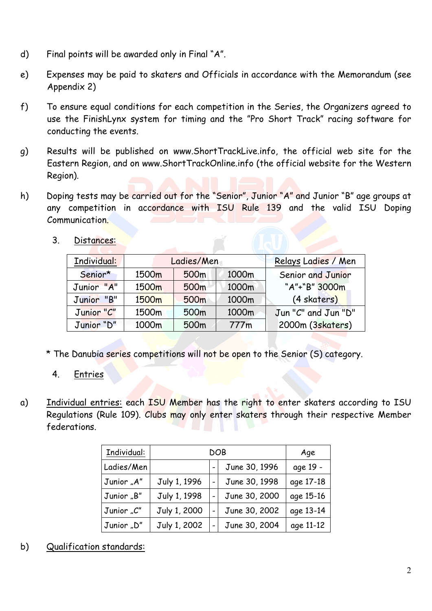- d) Final points will be awarded only in Final "A".
- e) Expenses may be paid to skaters and Officials in accordance with the Memorandum (see Appendix 2)
- f) To ensure equal conditions for each competition in the Series, the Organizers agreed to use the FinishLynx system for timing and the "Pro Short Track" racing software for conducting the events.
- g) Results will be published on www.ShortTrackLive.info, the official web site for the Eastern Region, and on www.ShortTrackOnline.info (the official website for the Western Region).
- h) Doping tests may be carried out for the "Senior", Junior "A" and Junior "B" age groups at any competition in accordance with ISU Rule 139 and the valid ISU Doping Communication.

| Individual: |       | Ladies/Men       | Relays Ladies / Men |                     |  |
|-------------|-------|------------------|---------------------|---------------------|--|
| Senior*     | 1500m | 500 <sub>m</sub> | 1000m               | Senior and Junior   |  |
| Junior "A"  | 1500m | 500m             | 1000m               | "A"+"B" 3000m       |  |
| Junior "B"  | 1500m | 500 <sub>m</sub> | 1000m               | (4 skaters)         |  |
| Junior "C"  | 1500m | 500m             | 1000m               | Jun "C" and Jun "D" |  |
| Junior "D"  | 1000m | 500m             | 777m                | 2000m (3skaters)    |  |

3. Distances:

- \* The Danubia series competitions will not be open to the Senior (S) category.
	- 4. Entries
- a) Individual entries: each ISU Member has the right to enter skaters according to ISU Regulations (Rule 109). Clubs may only enter skaters through their respective Member federations.

| Individual: |              | Age           |           |
|-------------|--------------|---------------|-----------|
| Ladies/Men  |              | June 30, 1996 | age 19 -  |
| Junior "A"  | July 1, 1996 | June 30, 1998 | age 17-18 |
| Junior "B"  | July 1, 1998 | June 30, 2000 | age 15-16 |
| Junior "C"  | July 1, 2000 | June 30, 2002 | age 13-14 |
| Junior "D"  | July 1, 2002 | June 30, 2004 | age 11-12 |

b) Qualification standards: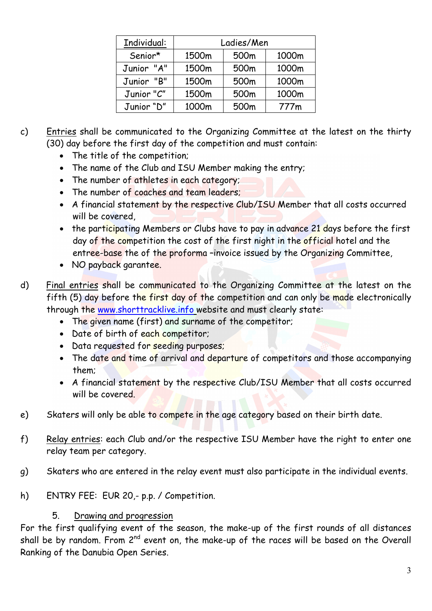| Individual: |       | Ladies/Men |       |
|-------------|-------|------------|-------|
| Senior*     | 1500m | 500m       | 1000m |
| Junior "A"  | 1500m | 500m       | 1000m |
| Junior "B"  | 1500m | 500m       | 1000m |
| Junior "C"  | 1500m | 500m       | 1000m |
| Junior "D"  | 1000m | 500m       | 777m  |

- c) Entries shall be communicated to the Organizing Committee at the latest on the thirty (30) day before the first day of the competition and must contain:
	- The title of the competition;
	- The name of the Club and ISU Member making the entry;
	- The number of athletes in each category;
	- The number of coaches and team leaders;
	- A financial statement by the respective Club/ISU Member that all costs occurred will be covered,
	- the participating Members or Clubs have to pay in advance 21 days before the first day of the competition the cost of the first night in the official hotel and the entree-base the of the proforma –invoice issued by the Organizing Committee,
	- NO payback garantee.
- d) Final entries shall be communicated to the Organizing Committee at the latest on the fifth (5) day before the first day of the competition and can only be made electronically through the www.shorttracklive.info website and must clearly state:
	- The given name (first) and surname of the competitor;
	- Date of birth of each competitor;
	- Data requested for seeding purposes;
	- The date and time of arrival and departure of competitors and those accompanying them;
	- A financial statement by the respective Club/ISU Member that all costs occurred will be covered.
- e) Skaters will only be able to compete in the age category based on their birth date.
- f) Relay entries: each Club and/or the respective ISU Member have the right to enter one relay team per category.
- g) Skaters who are entered in the relay event must also participate in the individual events.
- h) ENTRY FEE: EUR 20,- p.p. / Competition.

### 5. Drawing and progression

For the first qualifying event of the season, the make-up of the first rounds of all distances shall be by random. From  $2^{nd}$  event on, the make-up of the races will be based on the Overall Ranking of the Danubia Open Series.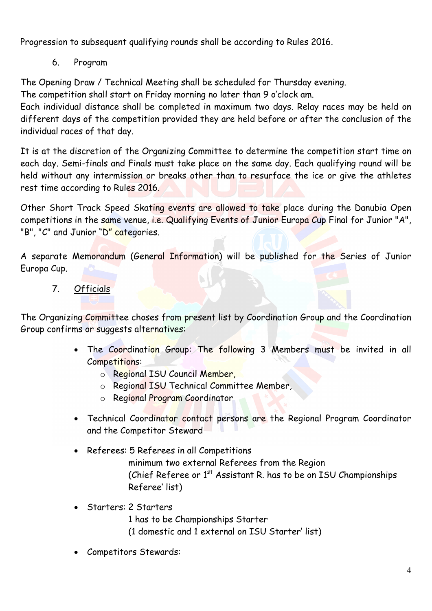Progression to subsequent qualifying rounds shall be according to Rules 2016.

6. Program

The Opening Draw / Technical Meeting shall be scheduled for Thursday evening.

The competition shall start on Friday morning no later than 9 o'clock am.

Each individual distance shall be completed in maximum two days. Relay races may be held on different days of the competition provided they are held before or after the conclusion of the individual races of that day.

It is at the discretion of the Organizing Committee to determine the competition start time on each day. Semi-finals and Finals must take place on the same day. Each qualifying round will be held without any intermission or breaks other than to resurface the ice or give the athletes rest time according to Rules 2016.

Other Short Track Speed Skating events are allowed to take place during the Danubia Open competitions in the same venue, i.e. Qualifying Events of Junior Europa Cup Final for Junior "A", "B", "C" and Junior "D" categories.

A separate Memorandum (General Information) will be published for the Series of Junior Europa Cup.

7. Officials

The Organizing Committee choses from present list by Coordination Group and the Coordination Group confirms or suggests alternatives:

- The Coordination Group: The following 3 Members must be invited in all Competitions:
	- o Regional ISU Council Member,
	- o Regional ISU Technical Committee Member,
	- o Regional Program Coordinator
- Technical Coordinator contact persons are the Regional Program Coordinator and the Competitor Steward
- Referees: 5 Referees in all Competitions minimum two external Referees from the Region (Chief Referee or 1<sup>st</sup> Assistant R. has to be on ISU Championships Referee' list)
- Starters: 2 Starters
	- 1 has to be Championships Starter
	- (1 domestic and 1 external on ISU Starter' list)
- Competitors Stewards: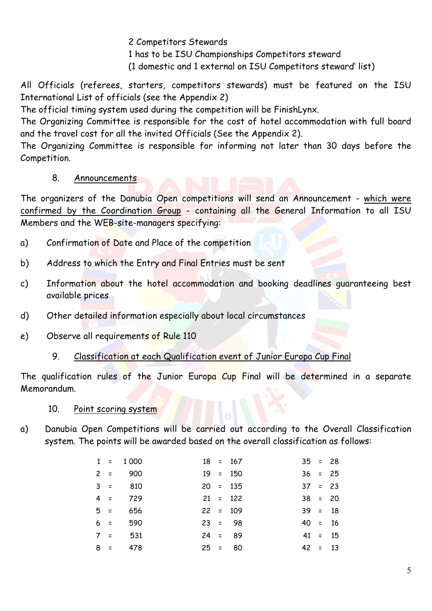2 Competitors Stewards

1 has to be ISU Championships Competitors steward

(1 domestic and 1 external on ISU Competitors steward' list)

All Officials (referees, starters, competitors stewards) must be featured on the ISU International List of officials (see the Appendix 2)

The official timing system used during the competition will be FinishLynx.

The Organizing Committee is responsible for the cost of hotel accommodation with full board and the travel cost for all the invited Officials (See the Appendix 2).

The Organizing Committee is responsible for informing not later than 30 days before the Competition.

### 8. Announcements

The organizers of the Danubia Open competitions will send an Announcement - which were confirmed by the Coordination Group - containing all the General Information to all ISU Members and the WEB-site-managers specifying:

- a) Confirmation of Date and Place of the competition
- b) Address to which the Entry and Final Entries must be sent
- c) Information about the hotel accommodation and booking deadlines guaranteeing best available prices
- d) Other detailed information especially about local circumstances
- e) Observe all requirements of Rule 110
	- 9. Classification at each Qualification event of Junior Europa Cup Final

The qualification rules of the Junior Europa Cup Final will be determined in a separate Memorandum.

### 10. Point scoring system

a) Danubia Open Competitions will be carried out according to the Overall Classification system. The points will be awarded based on the overall classification as follows:

|       | $1 = 1000$ |  | $18 = 167$ | $35 = 28$ |           |
|-------|------------|--|------------|-----------|-----------|
| $2 =$ | 900        |  | $19 = 150$ | $36 = 25$ |           |
| $3 =$ | 810        |  | $20 = 135$ | $37 = 23$ |           |
| $4 =$ | 729        |  | $21 = 122$ | $38 = 20$ |           |
| $5 =$ | 656        |  | $22 = 109$ | $39 = 18$ |           |
| $6 =$ | 590        |  | $23 = 98$  | $40 = 16$ |           |
| $7 =$ | 531        |  | $24 = 89$  |           | $41 = 15$ |
| $8 =$ | 478        |  | $25 = 80$  | $42 = 13$ |           |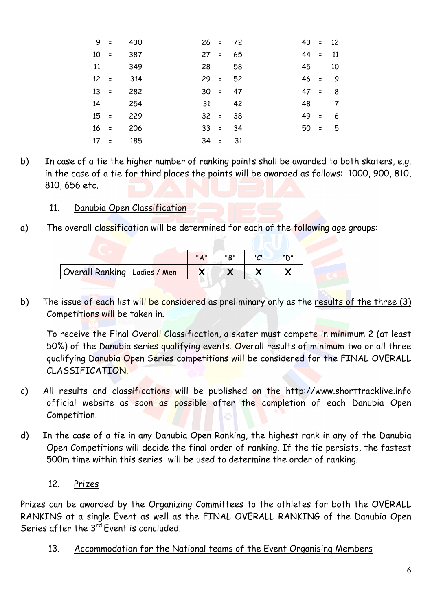| $9 =$  | 430 |  | $26 = 72$ | $43 = 12$ |          |
|--------|-----|--|-----------|-----------|----------|
| $10 =$ | 387 |  | $27 = 65$ | $44 = 11$ |          |
| $11 =$ | 349 |  | $28 = 58$ | $45 = 10$ |          |
| $12 =$ | 314 |  | $29 = 52$ | $46 = 9$  |          |
| $13 =$ | 282 |  | $30 = 47$ | $47 = 8$  |          |
| $14 =$ | 254 |  | $31 = 42$ | $48 = 7$  |          |
| $15 =$ | 229 |  | $32 = 38$ | $49 = 6$  |          |
| $16 =$ | 206 |  | $33 = 34$ |           | $50 = 5$ |
| $17 =$ | 185 |  | $34 = 31$ |           |          |

- b) In case of a tie the higher number of ranking points shall be awarded to both skaters, e.g. in the case of a tie for third places the points will be awarded as follows: 1000, 900, 810, 810, 656 etc.
	- 11. Danubia Open Classification
- a) The overall classification will be determined for each of the following age groups:

|                                | A | יים יי | $\mathsf{II}$ $\mathsf{I}$ | "N" |  |
|--------------------------------|---|--------|----------------------------|-----|--|
| Overall Ranking   Ladies / Men |   |        |                            |     |  |

b) The issue of each list will be considered as preliminary only as the results of the three (3) Competitions will be taken in.

To receive the Final Overall Classification, a skater must compete in minimum 2 (at least 50%) of the Danubia series qualifying events. Overall results of minimum two or all three qualifying Danubia Open Series competitions will be considered for the FINAL OVERALL CLASSIFICATION.

- c) All results and classifications will be published on the http://www.shorttracklive.info official website as soon as possible after the completion of each Danubia Open Competition.
- d) In the case of a tie in any Danubia Open Ranking, the highest rank in any of the Danubia Open Competitions will decide the final order of ranking. If the tie persists, the fastest 500m time within this series will be used to determine the order of ranking.

### 12. Prizes

Prizes can be awarded by the Organizing Committees to the athletes for both the OVERALL RANKING at a single Event as well as the FINAL OVERALL RANKING of the Danubia Open Series after the 3<sup>rd</sup> Event is concluded.

13. Accommodation for the National teams of the Event Organising Members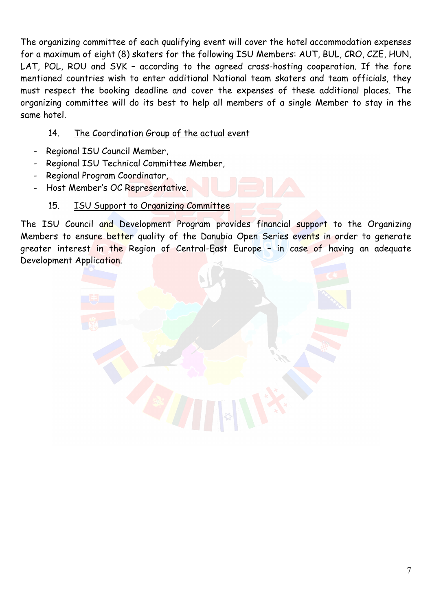The organizing committee of each qualifying event will cover the hotel accommodation expenses for a maximum of eight (8) skaters for the following ISU Members: AUT, BUL, CRO, CZE, HUN, LAT, POL, ROU and SVK – according to the agreed cross-hosting cooperation. If the fore mentioned countries wish to enter additional National team skaters and team officials, they must respect the booking deadline and cover the expenses of these additional places. The organizing committee will do its best to help all members of a single Member to stay in the same hotel.

### 14. The Coordination Group of the actual event

- Regional ISU Council Member,
- Regional ISU Technical Committee Member,
- Regional Program Coordinator,
- Host Member's OC Representative.

### 15. ISU Support to Organizing Committee

The ISU Council and Development Program provides financial support to the Organizing Members to ensure better quality of the Danubia Open Series events in order to generate greater interest in the Region of Central-East Europe – in case of having an adequate Development Application.

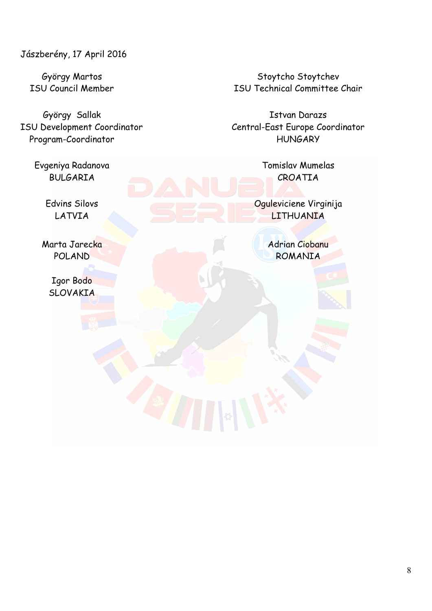Jászberény, 17 April 2016

György Sallak **Istvan Darazs** Program-Coordinator https://www.assett.com/discommunity/integration.com/discommunity/integration.com/

Evgeniya Radanova Tomislav Mumelas BULGARIA CROATIA

Igor Bodo **SLOVAKIA** 

György Martos Stoytcho Stoytchev Stoytchev ISU Council Member ISU Technical Committee Chair

ISU Development Coordinator Central-East Europe Coordinator

Edvins Silovs **Oguleviciene Virginija** LATVIA AND CHARGE COMPANY LITHUANIA

Marta Jarecka Adrian Ciobanu POLAND ROMANIA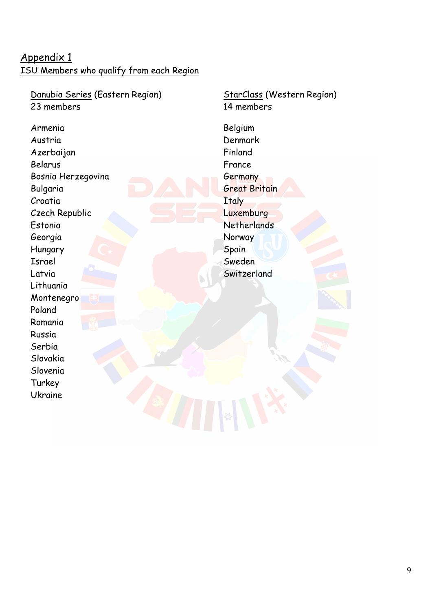### Appendix 1 ISU Members who qualify from each Region

Danubia Series (Eastern Region) 23 members

Armenia Austria Azerbaijan Belarus Bosnia Herzegovina Bulgaria Croatia Czech Republic Estonia Georgia Hungary Israel Latvia Lithuania Montenegro Poland Romania Russia Serbia Slovakia Slovenia Turkey Ukraine

StarClass (Western Region) 14 members

Belgium Denmark Finland France Germany Great Britain **Italy** Luxemburg **Netherlands Norway** Spain Sweden Switzerland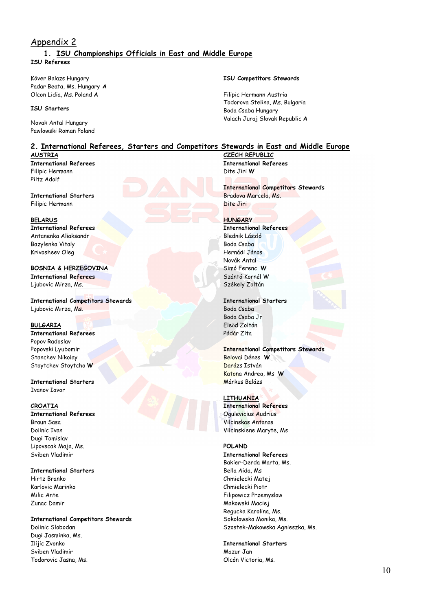### Appendix 2

### **1. ISU Championships Officials in East and Middle Europe ISU Referees**

Köver Balazs Hungary Padar Beata, Ms. Hungary **A** Olcon Lidia, Ms. Poland **A**

#### **ISU Starters**

Novak Antal Hungary Pawlowski Roman Poland

### **2. International Referees, Starters and Competitors Stewards in East and Middle Europe**

#### **AUSTRIA**

**International Referees**  Filipic Hermann Piltz Adolf

#### **International Starters**  Filipic Hermann

#### **BELARUS**

**International Referees**  Antanenka Aliaksandr Bazylenka Vitaly Krivosheev Oleg

#### **BOSNIA & HERZEGOVINA**

**International Referees**  Ljubovic Mirza, Ms.

**International Competitors Stewards**  Ljubovic Mirza, Ms.

### **BULGARIA**

**International Referees**  Popov Radoslav Popovski Lyubomir Stanchev Nikolay Stoytchev Stoytcho **W**

#### **International Starters**  Ivanov Iavor

### **CROATIA**

**International Referees**  Braun Sasa Dolinic Ivan Dugi Tomislav Lipovscak Maja, Ms. Sviben Vladimir

#### **International Starters**

Hirtz Branko Karlovic Marinko Milic Ante Zunac Damir

#### **International Competitors Stewards**

Dolinic Slobodan Dugi Jasminka, Ms. Ilijic Zvonko Sviben Vladimir Todorovic Jasna, Ms.

#### **ISU Competitors Stewards**

Filipic Hermann Austria Todorova Stelina, Ms. Bulgaria Boda Csaba Hungary Valach Juraj Slovak Republic **A**

**CZECH REPUBLIC International Referees**  Dite Jiri **W**

**International Competitors Stewards**  Bradova Marcela, Ms. Dite Jiri

#### **HUNGARY**

**International Referees**  Blednik László Boda Csaba Hernádi János Novák Antal Simó Ferenc **W** Szántó Kornél W Székely Zoltán

#### **International Starters**

Boda Csaba Boda Csaba Jr Eleőd Zoltán Pádár Zita

#### **International Competitors Stewards**

Belovai Dénes **W** Darázs István Katona Andrea, Ms **W** Márkus Balázs

#### **LITHUANIA**

**International Referees**  Ogulevicius Audrius Vilcinskas Antanas Vilcinskiene Maryte, Ms

#### **POLAND**

**International Referees**  Bakier-Derda Marta, Ms. Bella Aida, Ms Chmielecki Matej Chmielecki Piotr Filipowicz Przemyslaw Makowski Maciej Regucka Karolina, Ms. Sokolowska Monika, Ms. Szostek-Makowska Agnieszka, Ms.

#### **International Starters**

Mazur Jan Olcón Victoria, Ms.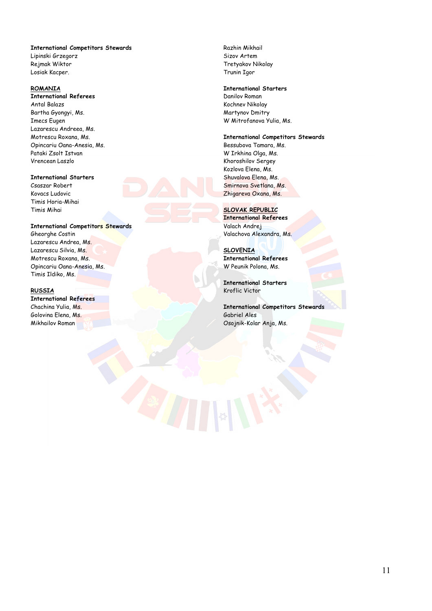#### **International Competitors Stewards**

Lipinski Grzegorz Rejmak Wiktor Losiak Kacper.

#### **ROMANIA**

**International Referees**  Antal Balazs Bartha Gyongyi, Ms. Imecs Eugen Lazarescu Andreea, Ms. Motrescu Roxana, Ms. Opincariu Oana-Anesia, Ms. Pataki Zsolt Istvan Vrencean Laszlo

#### **International Starters**

Csaszar Robert Kovacs Ludovic Timis Horia-Mihai Timis Mihai

#### **International Competitors Stewards**

Gheorghe Costin Lazarescu Andrea, Ms. Lazarescu Silvia, Ms. Motrescu Roxana, Ms. Opincariu Oana-Anesia, Ms. Timis Ildiko, Ms.

#### **RUSSIA**

**International Referees**  Chachina Yulia, Ms. Golovina Elena, Ms. Mikhailov Roman

Razhin Mikhail Sizov Artem Tretyakov Nikolay Trunin Igor

#### **International Starters**

Danilov Roman Kochnev Nikolay Martynov Dmitry W Mitrofanova Yulia, Ms.

#### **International Competitors Stewards**

Bessubova Tamara, Ms. W Irkhina Olga, Ms. Khoroshilov Sergey Kozlova Elena, Ms. Shuvalova Elena, Ms. Smirnova Svetlana, Ms. Zhigareva Oxana, Ms.

#### **SLOVAK REPUBLIC**

**International Referees**  Valach Andrej Valachova Alexandra, Ms.

**SLOVENIA International Referees**  W Peunik Polona, Ms.

**International Starters**  Kroflic Victor

**International Competitors Stewards**  Gabriel Ales Osojnik-Kolar Anja, Ms.